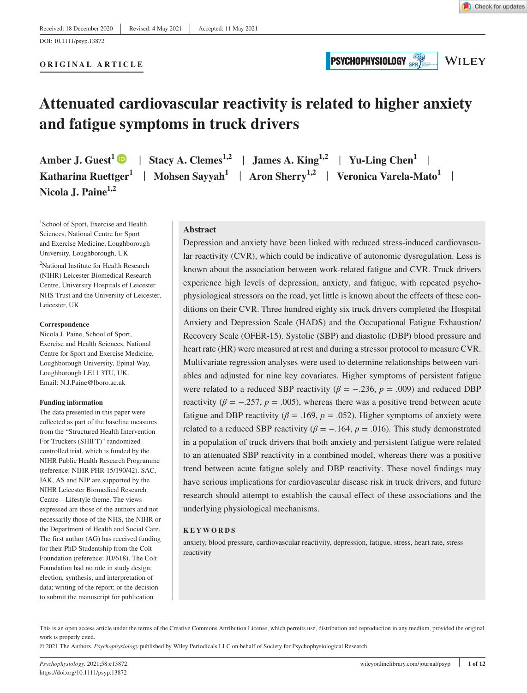**ORIGINAL ARTICLE**

**PSYCHOPHYSIOLOGY** 

**WILEY** 

# **Attenuated cardiovascular reactivity is related to higher anxiety and fatigue symptoms in truck drivers**

**Amber J. Guest<sup>1</sup>**  $\bullet$  **| Stacy A. Clemes<sup>1,2</sup> | James A. King<sup>1,2</sup> | Yu-Ling Chen<sup>1</sup> | Katharina Ruettger<sup>1</sup> | Mohsen Sayyah<sup>1</sup> | Aron Sherry<sup>1,2</sup> | Veronica Varela-Mato<sup>1</sup> | Nicola J. Paine1,2**

<sup>1</sup>School of Sport, Exercise and Health Sciences, National Centre for Sport and Exercise Medicine, Loughborough University, Loughborough, UK

<sup>2</sup>National Institute for Health Research (NIHR) Leicester Biomedical Research Centre, University Hospitals of Leicester NHS Trust and the University of Leicester, Leicester, UK

#### **Correspondence**

Nicola J. Paine, School of Sport, Exercise and Health Sciences, National Centre for Sport and Exercise Medicine, Loughborough University, Epinal Way, Loughborough LE11 3TU, UK. Email: [N.J.Paine@lboro.ac.uk](mailto:N.J.Paine@lboro.ac.uk)

#### **Funding information**

The data presented in this paper were collected as part of the baseline measures from the "Structured Health Intervention For Truckers (SHIFT)" randomized controlled trial, which is funded by the NIHR Public Health Research Programme (reference: NIHR PHR 15/190/42). SAC, JAK, AS and NJP are supported by the NIHR Leicester Biomedical Research Centre—Lifestyle theme. The views expressed are those of the authors and not necessarily those of the NHS, the NIHR or the Department of Health and Social Care. The first author (AG) has received funding for their PhD Studentship from the Colt Foundation (reference: JD/618). The Colt Foundation had no role in study design; election, synthesis, and interpretation of data; writing of the report; or the decision to submit the manuscript for publication

**Abstract**

Depression and anxiety have been linked with reduced stress-induced cardiovascular reactivity (CVR), which could be indicative of autonomic dysregulation. Less is known about the association between work-related fatigue and CVR. Truck drivers experience high levels of depression, anxiety, and fatigue, with repeated psychophysiological stressors on the road, yet little is known about the effects of these conditions on their CVR. Three hundred eighty six truck drivers completed the Hospital Anxiety and Depression Scale (HADS) and the Occupational Fatigue Exhaustion/ Recovery Scale (OFER-15). Systolic (SBP) and diastolic (DBP) blood pressure and heart rate (HR) were measured at rest and during a stressor protocol to measure CVR. Multivariate regression analyses were used to determine relationships between variables and adjusted for nine key covariates. Higher symptoms of persistent fatigue were related to a reduced SBP reactivity ( $\beta$  = −.236,  $p$  = .009) and reduced DBP reactivity ( $\beta = -.257$ ,  $p = .005$ ), whereas there was a positive trend between acute fatigue and DBP reactivity ( $\beta$  = .169,  $p$  = .052). Higher symptoms of anxiety were related to a reduced SBP reactivity ( $\beta = -.164$ ,  $p = .016$ ). This study demonstrated in a population of truck drivers that both anxiety and persistent fatigue were related to an attenuated SBP reactivity in a combined model, whereas there was a positive trend between acute fatigue solely and DBP reactivity. These novel findings may have serious implications for cardiovascular disease risk in truck drivers, and future research should attempt to establish the causal effect of these associations and the underlying physiological mechanisms.

#### **KEYWORDS**

anxiety, blood pressure, cardiovascular reactivity, depression, fatigue, stress, heart rate, stress reactivity

This is an open access article under the terms of the [Creative Commons Attribution](http://creativecommons.org/licenses/by/4.0/) License, which permits use, distribution and reproduction in any medium, provided the original work is properly cited.

© 2021 The Authors. *Psychophysiology* published by Wiley Periodicals LLC on behalf of Society for Psychophysiological Research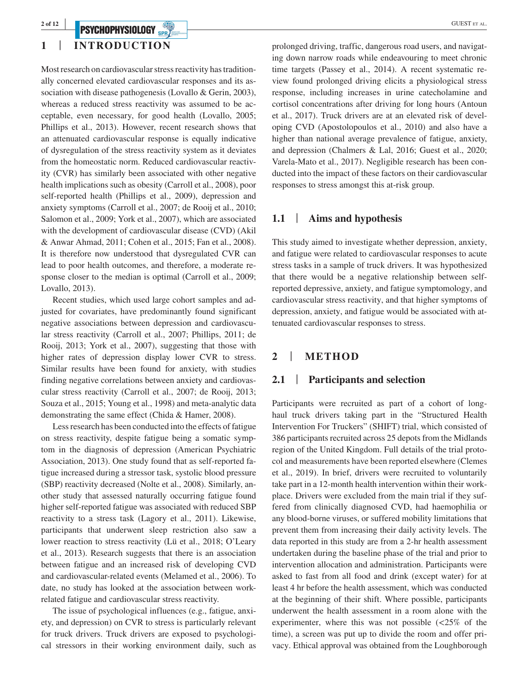# **PSYCHOPHYSIOLOGY** *SPRY*

# **1** | **INTRODUCTION**

Most research on cardiovascular stress reactivity has traditionally concerned elevated cardiovascular responses and its association with disease pathogenesis (Lovallo & Gerin, 2003), whereas a reduced stress reactivity was assumed to be acceptable, even necessary, for good health (Lovallo, 2005; Phillips et al., 2013). However, recent research shows that an attenuated cardiovascular response is equally indicative of dysregulation of the stress reactivity system as it deviates from the homeostatic norm. Reduced cardiovascular reactivity (CVR) has similarly been associated with other negative health implications such as obesity (Carroll et al., 2008), poor self-reported health (Phillips et al., 2009), depression and anxiety symptoms (Carroll et al., 2007; de Rooij et al., 2010; Salomon et al., 2009; York et al., 2007), which are associated with the development of cardiovascular disease (CVD) (Akil & Anwar Ahmad, 2011; Cohen et al., 2015; Fan et al., 2008). It is therefore now understood that dysregulated CVR can lead to poor health outcomes, and therefore, a moderate response closer to the median is optimal (Carroll et al., 2009; Lovallo, 2013).

Recent studies, which used large cohort samples and adjusted for covariates, have predominantly found significant negative associations between depression and cardiovascular stress reactivity (Carroll et al., 2007; Phillips, 2011; de Rooij, 2013; York et al., 2007), suggesting that those with higher rates of depression display lower CVR to stress. Similar results have been found for anxiety, with studies finding negative correlations between anxiety and cardiovascular stress reactivity (Carroll et al., 2007; de Rooij, 2013; Souza et al., 2015; Young et al., 1998) and meta-analytic data demonstrating the same effect (Chida & Hamer, 2008).

Less research has been conducted into the effects of fatigue on stress reactivity, despite fatigue being a somatic symptom in the diagnosis of depression (American Psychiatric Association, 2013). One study found that as self-reported fatigue increased during a stressor task, systolic blood pressure (SBP) reactivity decreased (Nolte et al., 2008). Similarly, another study that assessed naturally occurring fatigue found higher self-reported fatigue was associated with reduced SBP reactivity to a stress task (Lagory et al., 2011). Likewise, participants that underwent sleep restriction also saw a lower reaction to stress reactivity (Lü et al., 2018; O'Leary et al., 2013). Research suggests that there is an association between fatigue and an increased risk of developing CVD and cardiovascular-related events (Melamed et al., 2006). To date, no study has looked at the association between workrelated fatigue and cardiovascular stress reactivity.

The issue of psychological influences (e.g., fatigue, anxiety, and depression) on CVR to stress is particularly relevant for truck drivers. Truck drivers are exposed to psychological stressors in their working environment daily, such as

prolonged driving, traffic, dangerous road users, and navigating down narrow roads while endeavouring to meet chronic time targets (Passey et al., 2014). A recent systematic review found prolonged driving elicits a physiological stress response, including increases in urine catecholamine and cortisol concentrations after driving for long hours (Antoun et al., 2017). Truck drivers are at an elevated risk of developing CVD (Apostolopoulos et al., 2010) and also have a higher than national average prevalence of fatigue, anxiety, and depression (Chalmers & Lal, 2016; Guest et al., 2020; Varela-Mato et al., 2017). Negligible research has been conducted into the impact of these factors on their cardiovascular responses to stress amongst this at-risk group.

#### **1.1** | **Aims and hypothesis**

This study aimed to investigate whether depression, anxiety, and fatigue were related to cardiovascular responses to acute stress tasks in a sample of truck drivers. It was hypothesized that there would be a negative relationship between selfreported depressive, anxiety, and fatigue symptomology, and cardiovascular stress reactivity, and that higher symptoms of depression, anxiety, and fatigue would be associated with attenuated cardiovascular responses to stress.

# **2** | **METHOD**

#### **2.1** | **Participants and selection**

Participants were recruited as part of a cohort of longhaul truck drivers taking part in the "Structured Health Intervention For Truckers" (SHIFT) trial, which consisted of 386 participants recruited across 25 depots from the Midlands region of the United Kingdom. Full details of the trial protocol and measurements have been reported elsewhere (Clemes et al., 2019). In brief, drivers were recruited to voluntarily take part in a 12-month health intervention within their workplace. Drivers were excluded from the main trial if they suffered from clinically diagnosed CVD, had haemophilia or any blood-borne viruses, or suffered mobility limitations that prevent them from increasing their daily activity levels. The data reported in this study are from a 2-hr health assessment undertaken during the baseline phase of the trial and prior to intervention allocation and administration. Participants were asked to fast from all food and drink (except water) for at least 4 hr before the health assessment, which was conducted at the beginning of their shift. Where possible, participants underwent the health assessment in a room alone with the experimenter, where this was not possible (<25% of the time), a screen was put up to divide the room and offer privacy. Ethical approval was obtained from the Loughborough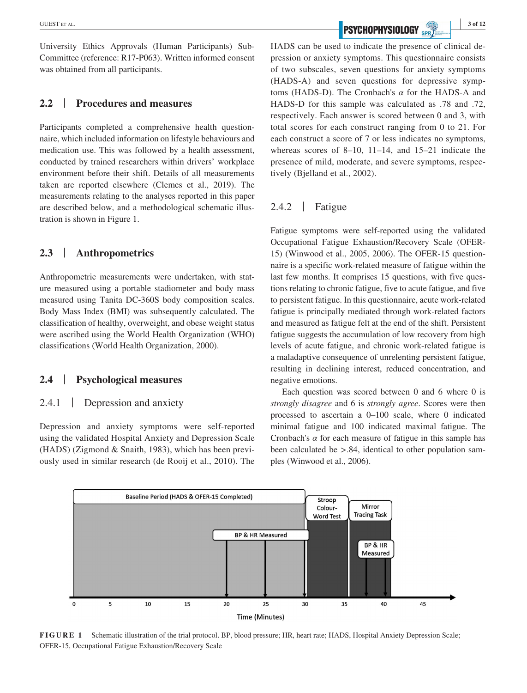University Ethics Approvals (Human Participants) Sub-Committee (reference: R17-P063). Written informed consent was obtained from all participants.

### **2.2** | **Procedures and measures**

Participants completed a comprehensive health questionnaire, which included information on lifestyle behaviours and medication use. This was followed by a health assessment, conducted by trained researchers within drivers' workplace environment before their shift. Details of all measurements taken are reported elsewhere (Clemes et al., 2019). The measurements relating to the analyses reported in this paper are described below, and a methodological schematic illustration is shown in Figure 1.

# **2.3** | **Anthropometrics**

Anthropometric measurements were undertaken, with stature measured using a portable stadiometer and body mass measured using Tanita DC-360S body composition scales. Body Mass Index (BMI) was subsequently calculated. The classification of healthy, overweight, and obese weight status were ascribed using the World Health Organization (WHO) classifications (World Health Organization, 2000).

#### **2.4** | **Psychological measures**

#### 2.4.1 | Depression and anxiety

Depression and anxiety symptoms were self-reported using the validated Hospital Anxiety and Depression Scale (HADS) (Zigmond & Snaith, 1983), which has been previously used in similar research (de Rooij et al., 2010). The

**EXECUTER AL. 3 of 12 2 2 3 of 12 2 3 of 12 2 3 of 12 3 of 12 3 of 12** 

HADS can be used to indicate the presence of clinical depression or anxiety symptoms. This questionnaire consists of two subscales, seven questions for anxiety symptoms (HADS-A) and seven questions for depressive symptoms (HADS-D). The Cronbach's *α* for the HADS-A and HADS-D for this sample was calculated as .78 and .72, respectively. Each answer is scored between 0 and 3, with total scores for each construct ranging from 0 to 21. For each construct a score of 7 or less indicates no symptoms, whereas scores of 8–10, 11–14, and 15–21 indicate the presence of mild, moderate, and severe symptoms, respectively (Bjelland et al., 2002).

#### 2.4.2 | Fatigue

Fatigue symptoms were self-reported using the validated Occupational Fatigue Exhaustion/Recovery Scale (OFER-15) (Winwood et al., 2005, 2006). The OFER-15 questionnaire is a specific work-related measure of fatigue within the last few months. It comprises 15 questions, with five questions relating to chronic fatigue, five to acute fatigue, and five to persistent fatigue. In this questionnaire, acute work-related fatigue is principally mediated through work-related factors and measured as fatigue felt at the end of the shift. Persistent fatigue suggests the accumulation of low recovery from high levels of acute fatigue, and chronic work-related fatigue is a maladaptive consequence of unrelenting persistent fatigue, resulting in declining interest, reduced concentration, and negative emotions.

Each question was scored between 0 and 6 where 0 is *strongly disagree* and 6 is *strongly agree*. Scores were then processed to ascertain a 0–100 scale, where 0 indicated minimal fatigue and 100 indicated maximal fatigue. The Cronbach's  $\alpha$  for each measure of fatigue in this sample has been calculated be >.84, identical to other population samples (Winwood et al., 2006).



**FIGURE 1** Schematic illustration of the trial protocol. BP, blood pressure; HR, heart rate; HADS, Hospital Anxiety Depression Scale; OFER-15, Occupational Fatigue Exhaustion/Recovery Scale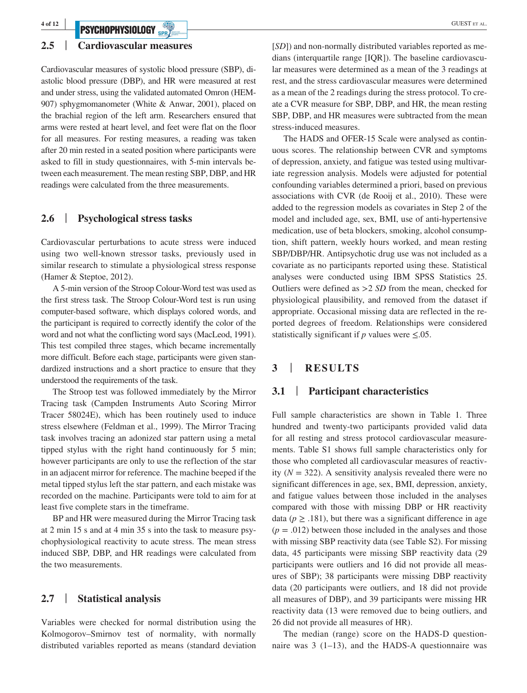# **PSYCHOPHYSIOLOGY** *SPRY*

#### **2.5** | **Cardiovascular measures**

Cardiovascular measures of systolic blood pressure (SBP), diastolic blood pressure (DBP), and HR were measured at rest and under stress, using the validated automated Omron (HEM-907) sphygmomanometer (White & Anwar, 2001), placed on the brachial region of the left arm. Researchers ensured that arms were rested at heart level, and feet were flat on the floor for all measures. For resting measures, a reading was taken after 20 min rested in a seated position where participants were asked to fill in study questionnaires, with 5-min intervals between each measurement. The mean resting SBP, DBP, and HR readings were calculated from the three measurements.

#### **2.6** | **Psychological stress tasks**

Cardiovascular perturbations to acute stress were induced using two well-known stressor tasks, previously used in similar research to stimulate a physiological stress response (Hamer & Steptoe, 2012).

A 5-min version of the Stroop Colour-Word test was used as the first stress task. The Stroop Colour-Word test is run using computer-based software, which displays colored words, and the participant is required to correctly identify the color of the word and not what the conflicting word says (MacLeod, 1991). This test compiled three stages, which became incrementally more difficult. Before each stage, participants were given standardized instructions and a short practice to ensure that they understood the requirements of the task.

The Stroop test was followed immediately by the Mirror Tracing task (Campden Instruments Auto Scoring Mirror Tracer 58024E), which has been routinely used to induce stress elsewhere (Feldman et al., 1999). The Mirror Tracing task involves tracing an adonized star pattern using a metal tipped stylus with the right hand continuously for 5 min; however participants are only to use the reflection of the star in an adjacent mirror for reference. The machine beeped if the metal tipped stylus left the star pattern, and each mistake was recorded on the machine. Participants were told to aim for at least five complete stars in the timeframe.

BP and HR were measured during the Mirror Tracing task at 2 min 15 s and at 4 min 35 s into the task to measure psychophysiological reactivity to acute stress. The mean stress induced SBP, DBP, and HR readings were calculated from the two measurements.

#### **2.7** | **Statistical analysis**

Variables were checked for normal distribution using the Kolmogorov–Smirnov test of normality, with normally distributed variables reported as means (standard deviation

[*SD*]) and non-normally distributed variables reported as medians (interquartile range [IQR]). The baseline cardiovascular measures were determined as a mean of the 3 readings at rest, and the stress cardiovascular measures were determined as a mean of the 2 readings during the stress protocol. To create a CVR measure for SBP, DBP, and HR, the mean resting SBP, DBP, and HR measures were subtracted from the mean stress-induced measures.

The HADS and OFER-15 Scale were analysed as continuous scores. The relationship between CVR and symptoms of depression, anxiety, and fatigue was tested using multivariate regression analysis. Models were adjusted for potential confounding variables determined a priori, based on previous associations with CVR (de Rooij et al., 2010). These were added to the regression models as covariates in Step 2 of the model and included age, sex, BMI, use of anti-hypertensive medication, use of beta blockers, smoking, alcohol consumption, shift pattern, weekly hours worked, and mean resting SBP/DBP/HR. Antipsychotic drug use was not included as a covariate as no participants reported using these. Statistical analyses were conducted using IBM SPSS Statistics 25. Outliers were defined as >2 *SD* from the mean, checked for physiological plausibility, and removed from the dataset if appropriate. Occasional missing data are reflected in the reported degrees of freedom. Relationships were considered statistically significant if *p* values were ≤.05.

# **3** | **RESULTS**

#### **3.1** | **Participant characteristics**

Full sample characteristics are shown in Table 1. Three hundred and twenty-two participants provided valid data for all resting and stress protocol cardiovascular measurements. Table S1 shows full sample characteristics only for those who completed all cardiovascular measures of reactivity  $(N = 322)$ . A sensitivity analysis revealed there were no significant differences in age, sex, BMI, depression, anxiety, and fatigue values between those included in the analyses compared with those with missing DBP or HR reactivity data ( $p \geq 0.181$ ), but there was a significant difference in age  $(p = .012)$  between those included in the analyses and those with missing SBP reactivity data (see Table S2). For missing data, 45 participants were missing SBP reactivity data (29 participants were outliers and 16 did not provide all measures of SBP); 38 participants were missing DBP reactivity data (20 participants were outliers, and 18 did not provide all measures of DBP), and 39 participants were missing HR reactivity data (13 were removed due to being outliers, and 26 did not provide all measures of HR).

The median (range) score on the HADS-D questionnaire was  $3(1-13)$ , and the HADS-A questionnaire was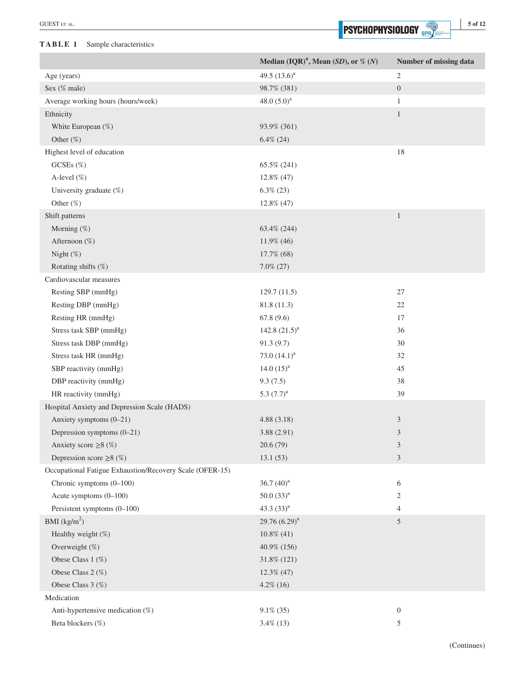#### **TABLE 1** Sample characteristics

|                                                          | Median $(IQR)^{a}$ , Mean $(SD)$ , or % $(N)$ | Number of missing data |
|----------------------------------------------------------|-----------------------------------------------|------------------------|
| Age (years)                                              | 49.5 $(13.6)^a$                               | $\overline{c}$         |
| Sex (% male)                                             | 98.7% (381)                                   | $\boldsymbol{0}$       |
| Average working hours (hours/week)                       | 48.0 $(5.0)^a$                                | $\mathbf{1}$           |
| Ethnicity                                                |                                               | $\mathbf{1}$           |
| White European (%)                                       | 93.9% (361)                                   |                        |
| Other (%)                                                | $6.4\%$ (24)                                  |                        |
| Highest level of education                               |                                               | 18                     |
| GCSEs $(\%)$                                             | 65.5% (241)                                   |                        |
| A-level (%)                                              | 12.8% (47)                                    |                        |
| University graduate (%)                                  | $6.3\%$ (23)                                  |                        |
| Other (%)                                                | 12.8% (47)                                    |                        |
| Shift patterns                                           |                                               | $\mathbf{1}$           |
| Morning (%)                                              | 63.4% (244)                                   |                        |
| Afternoon (%)                                            | 11.9% (46)                                    |                        |
| Night $(\%)$                                             | 17.7% (68)                                    |                        |
| Rotating shifts (%)                                      | $7.0\% (27)$                                  |                        |
| Cardiovascular measures                                  |                                               |                        |
| Resting SBP (mmHg)                                       | 129.7(11.5)                                   | 27                     |
| Resting DBP (mmHg)                                       | 81.8 (11.3)                                   | $22\,$                 |
| Resting HR (mmHg)                                        | 67.8(9.6)                                     | 17                     |
| Stress task SBP (mmHg)                                   | 142.8 $(21.5)^a$                              | 36                     |
| Stress task DBP (mmHg)                                   | 91.3(9.7)                                     | 30                     |
| Stress task HR (mmHg)                                    | 73.0 $(14.1)^a$                               | 32                     |
| SBP reactivity (mmHg)                                    | 14.0 $(15)^a$                                 | 45                     |
| DBP reactivity (mmHg)                                    | 9.3(7.5)                                      | 38                     |
| HR reactivity (mmHg)                                     | 5.3 $(7.7)^a$                                 | 39                     |
| Hospital Anxiety and Depression Scale (HADS)             |                                               |                        |
| Anxiety symptoms (0-21)                                  | 4.88(3.18)                                    | $\mathfrak{Z}$         |
| Depression symptoms (0-21)                               | 3.88(2.91)                                    | 3                      |
| Anxiety score $\geq 8$ (%)                               | 20.6(79)                                      | 3                      |
| Depression score $\geq 8$ (%)                            | 13.1(53)                                      | $\mathfrak{Z}$         |
| Occupational Fatigue Exhaustion/Recovery Scale (OFER-15) |                                               |                        |
| Chronic symptoms $(0-100)$                               | 36.7 $(40)^a$                                 | 6                      |
| Acute symptoms (0-100)                                   | $50.0(33)^{a}$                                | $\overline{c}$         |
| Persistent symptoms (0-100)                              | 43.3 $(33)^a$                                 | $\overline{4}$         |
| BMI $(kg/m2)$                                            | 29.76 $(6.29)^a$                              | 5                      |
| Healthy weight (%)                                       | $10.8\%$ (41)                                 |                        |
| Overweight (%)                                           | 40.9% (156)                                   |                        |
| Obese Class 1 (%)                                        | 31.8% (121)                                   |                        |
| Obese Class 2 (%)                                        | $12.3\%$ (47)                                 |                        |
| Obese Class 3 (%)                                        | $4.2\%$ (16)                                  |                        |
| Medication                                               |                                               |                        |
| Anti-hypertensive medication (%)                         | $9.1\%$ (35)                                  | $\boldsymbol{0}$       |
| Beta blockers (%)                                        | $3.4\%$ (13)                                  | 5                      |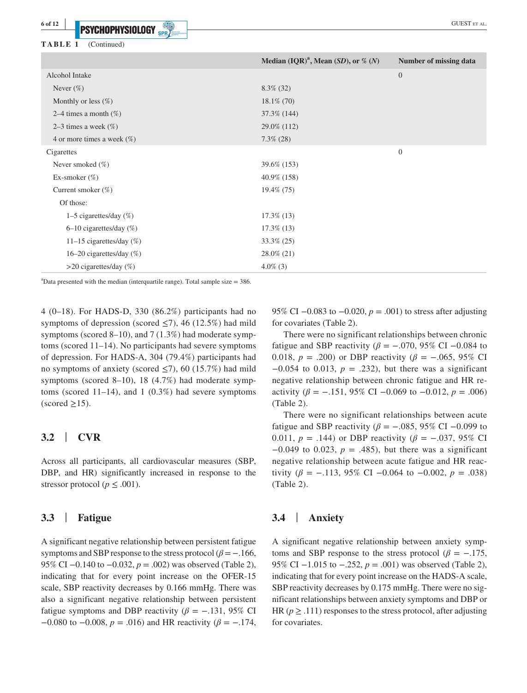**TABLE 1** (Continued)

**6 of 12 <sup>|</sup>**

|                               | Median $(IQR)^{a}$ , Mean $(SD)$ , or % $(N)$ | Number of missing data |
|-------------------------------|-----------------------------------------------|------------------------|
| Alcohol Intake                |                                               | $\mathbf{0}$           |
| Never $(\%)$                  | $8.3\%$ (32)                                  |                        |
| Monthly or less $(\%)$        | $18.1\%$ (70)                                 |                        |
| 2–4 times a month $(\%)$      | 37.3% (144)                                   |                        |
| 2–3 times a week $(\%)$       | 29.0% (112)                                   |                        |
| 4 or more times a week $(\%)$ | $7.3\%$ (28)                                  |                        |
| Cigarettes                    |                                               | $\boldsymbol{0}$       |
| Never smoked $(\%)$           | 39.6% (153)                                   |                        |
| Ex-smoker $(\%)$              | 40.9% (158)                                   |                        |
| Current smoker $(\%)$         | 19.4\% (75)                                   |                        |
| Of those:                     |                                               |                        |
| 1–5 cigarettes/day $(\%)$     | $17.3\%$ (13)                                 |                        |
| $6-10$ cigarettes/day $(\%)$  | $17.3\%$ (13)                                 |                        |
| 11-15 cigarettes/day $(\%)$   | 33.3% (25)                                    |                        |
| 16–20 cigarettes/day $(\%)$   | 28.0% (21)                                    |                        |
| $>$ 20 cigarettes/day (%)     | $4.0\%$ (3)                                   |                        |

 $a^2$ Data presented with the median (interquartile range). Total sample size = 386.

4 (0–18). For HADS-D, 330 (86.2%) participants had no symptoms of depression (scored  $\leq$ 7), 46 (12.5%) had mild symptoms (scored 8–10), and 7 (1.3%) had moderate symptoms (scored 11–14). No participants had severe symptoms of depression. For HADS-A, 304 (79.4%) participants had no symptoms of anxiety (scored  $\leq$ 7), 60 (15.7%) had mild symptoms (scored 8–10), 18 (4.7%) had moderate symptoms (scored  $11-14$ ), and  $1(0.3\%)$  had severe symptoms  $\text{(scored } \geq 15)$ .

#### **3.2** | **CVR**

Across all participants, all cardiovascular measures (SBP, DBP, and HR) significantly increased in response to the stressor protocol ( $p \leq .001$ ).

#### **3.3** | **Fatigue**

A significant negative relationship between persistent fatigue symptoms and SBP response to the stress protocol ( $\beta$  =  $-$ .166, 95% CI –0.140 to –0.032, *p* = .002) was observed (Table 2), indicating that for every point increase on the OFER-15 scale, SBP reactivity decreases by 0.166 mmHg. There was also a significant negative relationship between persistent fatigue symptoms and DBP reactivity ( $\beta$  = −.131, 95% CI −0.080 to −0.008, *p* = .016) and HR reactivity (*β* = −.174, 95% CI −0.083 to −0.020, *p* = .001) to stress after adjusting for covariates (Table 2).

There were no significant relationships between chronic fatigue and SBP reactivity ( $\beta$  = -.070, 95% CI -0.084 to 0.018,  $p = .200$  or DBP reactivity ( $\beta = -.065, 95\%$  CI  $-0.054$  to 0.013,  $p = .232$ ), but there was a significant negative relationship between chronic fatigue and HR reactivity ( $\beta$  = −.151, 95% CI −0.069 to −0.012,  $p = .006$ ) (Table 2).

There were no significant relationships between acute fatigue and SBP reactivity ( $\beta$  = -.085, 95% CI -0.099 to 0.011,  $p = .144$ ) or DBP reactivity ( $\beta = -.037, 95\%$  CI  $-0.049$  to 0.023,  $p = .485$ ), but there was a significant negative relationship between acute fatigue and HR reactivity ( $\beta$  = -.113, 95% CI -0.064 to -0.002,  $p = .038$ ) (Table 2).

#### **3.4** | **Anxiety**

A significant negative relationship between anxiety symptoms and SBP response to the stress protocol ( $\beta = -0.175$ , 95% CI −1.015 to −.252,  $p = .001$ ) was observed (Table 2), indicating that for every point increase on the HADS-A scale, SBP reactivity decreases by 0.175 mmHg. There were no significant relationships between anxiety symptoms and DBP or HR ( $p \geq .111$ ) responses to the stress protocol, after adjusting for covariates.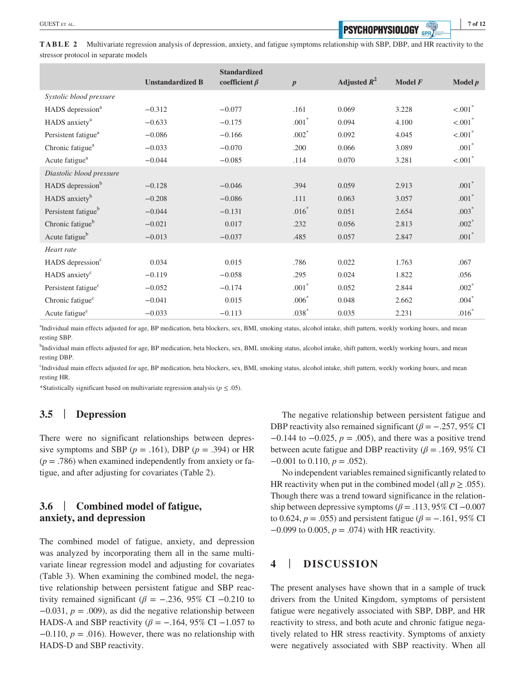**TABLE 2** Multivariate regression analysis of depression, anxiety, and fatigue symptoms relationship with SBP, DBP, and HR reactivity to the stressor protocol in separate models

|                                 | <b>Unstandardized B</b> | <b>Standardized</b><br>coefficient $\beta$ | $\boldsymbol{p}$ | Adjusted $R^2$ | Model $F$ | Model $p$             |
|---------------------------------|-------------------------|--------------------------------------------|------------------|----------------|-----------|-----------------------|
| Systolic blood pressure         |                         |                                            |                  |                |           |                       |
| HADS depression <sup>a</sup>    | $-0.312$                | $-0.077$                                   | .161             | 0.069          | 3.228     | $< .001$ <sup>*</sup> |
| HADS anxiety <sup>a</sup>       | $-0.633$                | $-0.175$                                   | $.001*$          | 0.094          | 4.100     | $< .001$ <sup>*</sup> |
| Persistent fatigue <sup>a</sup> | $-0.086$                | $-0.166$                                   | $.002*$          | 0.092          | 4.045     | $< .001$ <sup>*</sup> |
| Chronic fatigue <sup>a</sup>    | $-0.033$                | $-0.070$                                   | .200             | 0.066          | 3.089     | $.001*$               |
| Acute fatigue <sup>a</sup>      | $-0.044$                | $-0.085$                                   | .114             | 0.070          | 3.281     | $< .001$ <sup>*</sup> |
| Diastolic blood pressure        |                         |                                            |                  |                |           |                       |
| HADS depression <sup>b</sup>    | $-0.128$                | $-0.046$                                   | .394             | 0.059          | 2.913     | $.001*$               |
| HADS anxiety <sup>b</sup>       | $-0.208$                | $-0.086$                                   | .111             | 0.063          | 3.057     | $.001*$               |
| Persistent fatigue <sup>b</sup> | $-0.044$                | $-0.131$                                   | $.016*$          | 0.051          | 2.654     | $.003*$               |
| Chronic fatigue <sup>b</sup>    | $-0.021$                | 0.017                                      | .232             | 0.056          | 2.813     | $.002*$               |
| Acute fatigue <sup>b</sup>      | $-0.013$                | $-0.037$                                   | .485             | 0.057          | 2.847     | $.001*$               |
| Heart rate                      |                         |                                            |                  |                |           |                       |
| HADS depression <sup>c</sup>    | 0.034                   | 0.015                                      | .786             | 0.022          | 1.763     | .067                  |
| HADS anxiety <sup>c</sup>       | $-0.119$                | $-0.058$                                   | .295             | 0.024          | 1.822     | .056                  |
| Persistent fatigue <sup>c</sup> | $-0.052$                | $-0.174$                                   | $.001*$          | 0.052          | 2.844     | $.002*$               |
| Chronic fatigue <sup>c</sup>    | $-0.041$                | 0.015                                      | $.006*$          | 0.048          | 2.662     | $.004*$               |
| Acute fatigue <sup>c</sup>      | $-0.033$                | $-0.113$                                   | $.038*$          | 0.035          | 2.231     | $.016*$               |

a Individual main effects adjusted for age, BP medication, beta blockers, sex, BMI, smoking status, alcohol intake, shift pattern, weekly working hours, and mean resting SBP.

b Individual main effects adjusted for age, BP medication, beta blockers, sex, BMI, smoking status, alcohol intake, shift pattern, weekly working hours, and mean resting DBP.

c Individual main effects adjusted for age, BP medication, beta blockers, sex, BMI, smoking status, alcohol intake, shift pattern, weekly working hours, and mean resting HR.

\*Statistically significant based on multivariate regression analysis ( $p \leq .05$ ).

# **3.5** | **Depression**

There were no significant relationships between depressive symptoms and SBP ( $p = .161$ ), DBP ( $p = .394$ ) or HR  $(p = .786)$  when examined independently from anxiety or fatigue, and after adjusting for covariates (Table 2).

# **3.6** | **Combined model of fatigue, anxiety, and depression**

The combined model of fatigue, anxiety, and depression was analyzed by incorporating them all in the same multivariate linear regression model and adjusting for covariates (Table 3). When examining the combined model, the negative relationship between persistent fatigue and SBP reactivity remained significant ( $\beta$  =  $-.236$ , 95% CI  $-0.210$  to  $-0.031$ ,  $p = .009$ ), as did the negative relationship between HADS-A and SBP reactivity ( $\beta$  = −.164, 95% CI −1.057 to −0.110, *p* = .016). However, there was no relationship with HADS-D and SBP reactivity.

The negative relationship between persistent fatigue and DBP reactivity also remained significant ( $\beta$  = −.257, 95% CI −0.144 to −0.025, *p* = .005), and there was a positive trend between acute fatigue and DBP reactivity ( $\beta$  = .169, 95% CI −0.001 to 0.110, *p* = .052).

No independent variables remained significantly related to HR reactivity when put in the combined model (all  $p \geq 0.055$ ). Though there was a trend toward significance in the relationship between depressive symptoms ( $\beta$  = .113, 95% CI –0.007 to 0.624,  $p = .055$ ) and persistent fatigue ( $\beta = -.161, 95\%$  CI −0.099 to 0.005, *p* = .074) with HR reactivity.

# **4** | **DISCUSSION**

The present analyses have shown that in a sample of truck drivers from the United Kingdom, symptoms of persistent fatigue were negatively associated with SBP, DBP, and HR reactivity to stress, and both acute and chronic fatigue negatively related to HR stress reactivity. Symptoms of anxiety were negatively associated with SBP reactivity. When all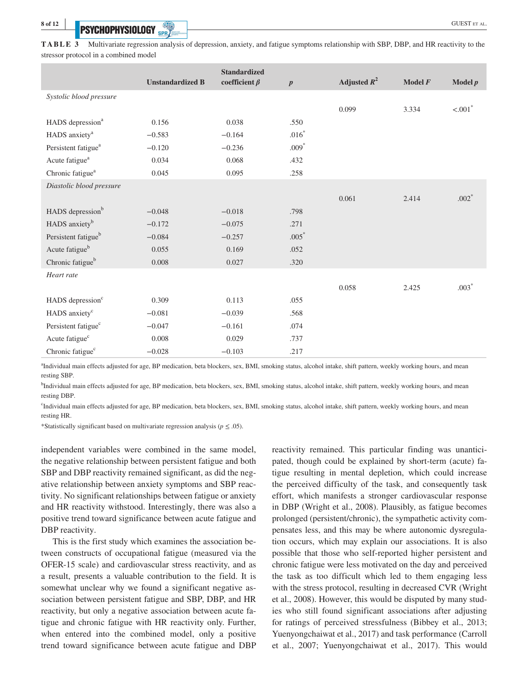# **EXPLICIAL DRUGHAL CONTRACT CONTRACT ET AL.**

**TABLE 3** Multivariate regression analysis of depression, anxiety, and fatigue symptoms relationship with SBP, DBP, and HR reactivity to the stressor protocol in a combined model

|                                 | <b>Unstandardized B</b> | <b>Standardized</b><br>coefficient $\beta$ | $\boldsymbol{p}$ | Adjusted $R^2$ | Model $F$ | Model $p$             |
|---------------------------------|-------------------------|--------------------------------------------|------------------|----------------|-----------|-----------------------|
| Systolic blood pressure         |                         |                                            |                  |                |           |                       |
|                                 |                         |                                            |                  | 0.099          | 3.334     | $< .001$ <sup>*</sup> |
| HADS depression <sup>a</sup>    | 0.156                   | 0.038                                      | .550             |                |           |                       |
| HADS anxiety <sup>a</sup>       | $-0.583$                | $-0.164$                                   | $.016*$          |                |           |                       |
| Persistent fatigue <sup>a</sup> | $-0.120$                | $-0.236$                                   | $.009*$          |                |           |                       |
| Acute fatigue <sup>a</sup>      | 0.034                   | 0.068                                      | .432             |                |           |                       |
| Chronic fatigue <sup>a</sup>    | 0.045                   | 0.095                                      | .258             |                |           |                       |
| Diastolic blood pressure        |                         |                                            |                  |                |           |                       |
|                                 |                         |                                            |                  | 0.061          | 2.414     | $.002*$               |
| HADS depression <sup>b</sup>    | $-0.048$                | $-0.018$                                   | .798             |                |           |                       |
| HADS anxiety <sup>b</sup>       | $-0.172$                | $-0.075$                                   | .271             |                |           |                       |
| Persistent fatigue <sup>b</sup> | $-0.084$                | $-0.257$                                   | $.005*$          |                |           |                       |
| Acute fatigue <sup>b</sup>      | 0.055                   | 0.169                                      | .052             |                |           |                       |
| Chronic fatigue <sup>b</sup>    | 0.008                   | 0.027                                      | .320             |                |           |                       |
| Heart rate                      |                         |                                            |                  |                |           |                       |
|                                 |                         |                                            |                  | 0.058          | 2.425     | $.003*$               |
| HADS depression <sup>c</sup>    | 0.309                   | 0.113                                      | .055             |                |           |                       |
| HADS anxiety <sup>c</sup>       | $-0.081$                | $-0.039$                                   | .568             |                |           |                       |
| Persistent fatigue <sup>c</sup> | $-0.047$                | $-0.161$                                   | .074             |                |           |                       |
| Acute fatigue <sup>c</sup>      | 0.008                   | 0.029                                      | .737             |                |           |                       |
| Chronic fatigue <sup>c</sup>    | $-0.028$                | $-0.103$                                   | .217             |                |           |                       |

<sup>a</sup>Individual main effects adjusted for age, BP medication, beta blockers, sex, BMI, smoking status, alcohol intake, shift pattern, weekly working hours, and mean resting SBP.

<sup>b</sup>Individual main effects adjusted for age, BP medication, beta blockers, sex, BMI, smoking status, alcohol intake, shift pattern, weekly working hours, and mean resting DBP.

c Individual main effects adjusted for age, BP medication, beta blockers, sex, BMI, smoking status, alcohol intake, shift pattern, weekly working hours, and mean resting HR.

\*Statistically significant based on multivariate regression analysis ( $p \leq .05$ ).

independent variables were combined in the same model, the negative relationship between persistent fatigue and both SBP and DBP reactivity remained significant, as did the negative relationship between anxiety symptoms and SBP reactivity. No significant relationships between fatigue or anxiety and HR reactivity withstood. Interestingly, there was also a positive trend toward significance between acute fatigue and DBP reactivity.

This is the first study which examines the association between constructs of occupational fatigue (measured via the OFER-15 scale) and cardiovascular stress reactivity, and as a result, presents a valuable contribution to the field. It is somewhat unclear why we found a significant negative association between persistent fatigue and SBP, DBP, and HR reactivity, but only a negative association between acute fatigue and chronic fatigue with HR reactivity only. Further, when entered into the combined model, only a positive trend toward significance between acute fatigue and DBP reactivity remained. This particular finding was unanticipated, though could be explained by short-term (acute) fatigue resulting in mental depletion, which could increase the perceived difficulty of the task, and consequently task effort, which manifests a stronger cardiovascular response in DBP (Wright et al., 2008). Plausibly, as fatigue becomes prolonged (persistent/chronic), the sympathetic activity compensates less, and this may be where autonomic dysregulation occurs, which may explain our associations. It is also possible that those who self-reported higher persistent and chronic fatigue were less motivated on the day and perceived the task as too difficult which led to them engaging less with the stress protocol, resulting in decreased CVR (Wright et al., 2008). However, this would be disputed by many studies who still found significant associations after adjusting for ratings of perceived stressfulness (Bibbey et al., 2013; Yuenyongchaiwat et al., 2017) and task performance (Carroll et al., 2007; Yuenyongchaiwat et al., 2017). This would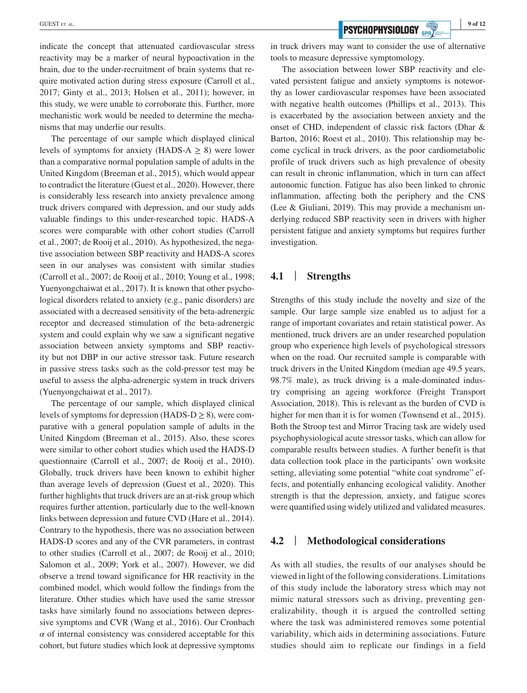**EXECUTER AL. 9 of 12 PSYCHOPHYSIOLOGY SPR/2000 9 of 12** 

indicate the concept that attenuated cardiovascular stress reactivity may be a marker of neural hypoactivation in the brain, due to the under-recruitment of brain systems that require motivated action during stress exposure (Carroll et al., 2017; Ginty et al., 2013; Holsen et al., 2011); however, in this study, we were unable to corroborate this. Further, more mechanistic work would be needed to determine the mechanisms that may underlie our results.

The percentage of our sample which displayed clinical levels of symptoms for anxiety (HADS-A  $\geq$  8) were lower than a comparative normal population sample of adults in the United Kingdom (Breeman et al., 2015), which would appear to contradict the literature (Guest et al., 2020). However, there is considerably less research into anxiety prevalence among truck drivers compared with depression, and our study adds valuable findings to this under-researched topic. HADS-A scores were comparable with other cohort studies (Carroll et al., 2007; de Rooij et al., 2010). As hypothesized, the negative association between SBP reactivity and HADS-A scores seen in our analyses was consistent with similar studies (Carroll et al., 2007; de Rooij et al., 2010; Young et al., 1998; Yuenyongchaiwat et al., 2017). It is known that other psychological disorders related to anxiety (e.g., panic disorders) are associated with a decreased sensitivity of the beta-adrenergic receptor and decreased stimulation of the beta-adrenergic system and could explain why we saw a significant negative association between anxiety symptoms and SBP reactivity but not DBP in our active stressor task. Future research in passive stress tasks such as the cold-pressor test may be useful to assess the alpha-adrenergic system in truck drivers (Yuenyongchaiwat et al., 2017).

The percentage of our sample, which displayed clinical levels of symptoms for depression (HADS-D  $\geq$  8), were comparative with a general population sample of adults in the United Kingdom (Breeman et al., 2015). Also, these scores were similar to other cohort studies which used the HADS-D questionnaire (Carroll et al., 2007; de Rooij et al., 2010). Globally, truck drivers have been known to exhibit higher than average levels of depression (Guest et al., 2020). This further highlights that truck drivers are an at-risk group which requires further attention, particularly due to the well-known links between depression and future CVD (Hare et al., 2014). Contrary to the hypothesis, there was no association between HADS-D scores and any of the CVR parameters, in contrast to other studies (Carroll et al., 2007; de Rooij et al., 2010; Salomon et al., 2009; York et al., 2007). However, we did observe a trend toward significance for HR reactivity in the combined model, which would follow the findings from the literature. Other studies which have used the same stressor tasks have similarly found no associations between depressive symptoms and CVR (Wang et al., 2016). Our Cronbach  $\alpha$  of internal consistency was considered acceptable for this cohort, but future studies which look at depressive symptoms

in truck drivers may want to consider the use of alternative tools to measure depressive symptomology.

The association between lower SBP reactivity and elevated persistent fatigue and anxiety symptoms is noteworthy as lower cardiovascular responses have been associated with negative health outcomes (Phillips et al., 2013). This is exacerbated by the association between anxiety and the onset of CHD, independent of classic risk factors (Dhar & Barton, 2016; Roest et al., 2010). This relationship may become cyclical in truck drivers, as the poor cardiometabolic profile of truck drivers such as high prevalence of obesity can result in chronic inflammation, which in turn can affect autonomic function. Fatigue has also been linked to chronic inflammation, affecting both the periphery and the CNS (Lee & Giuliani, 2019). This may provide a mechanism underlying reduced SBP reactivity seen in drivers with higher persistent fatigue and anxiety symptoms but requires further investigation.

# **4.1** | **Strengths**

Strengths of this study include the novelty and size of the sample. Our large sample size enabled us to adjust for a range of important covariates and retain statistical power. As mentioned, truck drivers are an under researched population group who experience high levels of psychological stressors when on the road. Our recruited sample is comparable with truck drivers in the United Kingdom (median age 49.5 years, 98.7% male), as truck driving is a male-dominated industry comprising an ageing workforce (Freight Transport Association, 2018). This is relevant as the burden of CVD is higher for men than it is for women (Townsend et al., 2015). Both the Stroop test and Mirror Tracing task are widely used psychophysiological acute stressor tasks, which can allow for comparable results between studies. A further benefit is that data collection took place in the participants' own worksite setting, alleviating some potential "white coat syndrome" effects, and potentially enhancing ecological validity. Another strength is that the depression, anxiety, and fatigue scores were quantified using widely utilized and validated measures.

#### **4.2** | **Methodological considerations**

As with all studies, the results of our analyses should be viewed in light of the following considerations. Limitations of this study include the laboratory stress which may not mimic natural stressors such as driving, preventing generalizability, though it is argued the controlled setting where the task was administered removes some potential variability, which aids in determining associations. Future studies should aim to replicate our findings in a field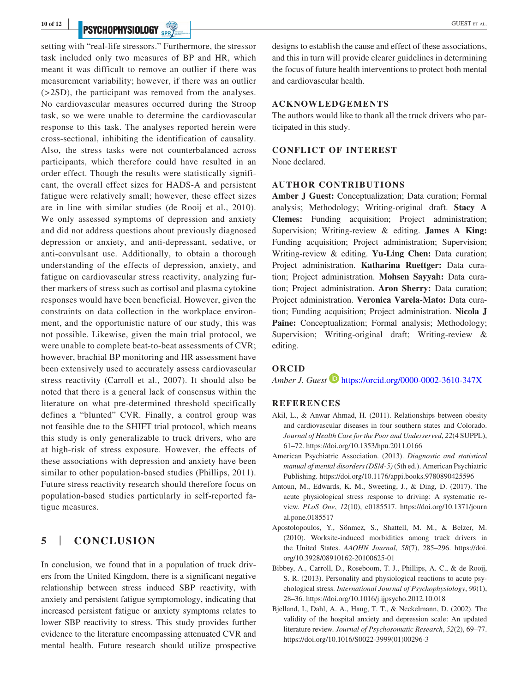# **PSYCHOPHYSIOLOGY** SPR/

setting with "real-life stressors." Furthermore, the stressor task included only two measures of BP and HR, which meant it was difficult to remove an outlier if there was measurement variability; however, if there was an outlier (>2SD), the participant was removed from the analyses. No cardiovascular measures occurred during the Stroop task, so we were unable to determine the cardiovascular response to this task. The analyses reported herein were cross-sectional, inhibiting the identification of causality. Also, the stress tasks were not counterbalanced across participants, which therefore could have resulted in an order effect. Though the results were statistically significant, the overall effect sizes for HADS-A and persistent fatigue were relatively small; however, these effect sizes are in line with similar studies (de Rooij et al., 2010). We only assessed symptoms of depression and anxiety and did not address questions about previously diagnosed depression or anxiety, and anti-depressant, sedative, or anti-convulsant use. Additionally, to obtain a thorough understanding of the effects of depression, anxiety, and fatigue on cardiovascular stress reactivity, analyzing further markers of stress such as cortisol and plasma cytokine responses would have been beneficial. However, given the constraints on data collection in the workplace environment, and the opportunistic nature of our study, this was not possible. Likewise, given the main trial protocol, we were unable to complete beat-to-beat assessments of CVR; however, brachial BP monitoring and HR assessment have been extensively used to accurately assess cardiovascular stress reactivity (Carroll et al., 2007). It should also be noted that there is a general lack of consensus within the literature on what pre-determined threshold specifically defines a "blunted" CVR. Finally, a control group was not feasible due to the SHIFT trial protocol, which means this study is only generalizable to truck drivers, who are at high-risk of stress exposure. However, the effects of these associations with depression and anxiety have been similar to other population-based studies (Phillips, 2011). Future stress reactivity research should therefore focus on population-based studies particularly in self-reported fatigue measures.

# **5** | **CONCLUSION**

In conclusion, we found that in a population of truck drivers from the United Kingdom, there is a significant negative relationship between stress induced SBP reactivity, with anxiety and persistent fatigue symptomology, indicating that increased persistent fatigue or anxiety symptoms relates to lower SBP reactivity to stress. This study provides further evidence to the literature encompassing attenuated CVR and mental health. Future research should utilize prospective designs to establish the cause and effect of these associations, and this in turn will provide clearer guidelines in determining the focus of future health interventions to protect both mental and cardiovascular health.

#### **ACKNOWLEDGEMENTS**

The authors would like to thank all the truck drivers who participated in this study.

#### **CONFLICT OF INTEREST**

None declared.

#### **AUTHOR CONTRIBUTIONS**

**Amber J Guest:** Conceptualization; Data curation; Formal analysis; Methodology; Writing-original draft. **Stacy A Clemes:** Funding acquisition; Project administration; Supervision; Writing-review & editing. **James A King:** Funding acquisition; Project administration; Supervision; Writing-review & editing. **Yu-Ling Chen:** Data curation; Project administration. **Katharina Ruettger:** Data curation; Project administration. **Mohsen Sayyah:** Data curation; Project administration. **Aron Sherry:** Data curation; Project administration. **Veronica Varela-Mato:** Data curation; Funding acquisition; Project administration. **Nicola J**  Paine: Conceptualization; Formal analysis; Methodology; Supervision; Writing-original draft; Writing-review & editing.

#### **ORCID**

*Amber J. Guest* <https://orcid.org/0000-0002-3610-347X>

#### **REFERENCES**

- Akil, L., & Anwar Ahmad, H. (2011). Relationships between obesity and cardiovascular diseases in four southern states and Colorado. *Journal of Health Care for the Poor and Underserved*, *22*(4 SUPPL), 61–72. <https://doi.org/10.1353/hpu.2011.0166>
- American Psychiatric Association. (2013). *Diagnostic and statistical manual of mental disorders (DSM-5)* (5th ed.). American Psychiatric Publishing.<https://doi.org/10.1176/appi.books.9780890425596>
- Antoun, M., Edwards, K. M., Sweeting, J., & Ding, D. (2017). The acute physiological stress response to driving: A systematic review. *PLoS One*, *12*(10), e0185517. [https://doi.org/10.1371/journ](https://doi.org/10.1371/journal.pone.0185517) [al.pone.0185517](https://doi.org/10.1371/journal.pone.0185517)
- Apostolopoulos, Y., Sönmez, S., Shattell, M. M., & Belzer, M. (2010). Worksite-induced morbidities among truck drivers in the United States. *AAOHN Journal*, *58*(7), 285–296. [https://doi.](https://doi.org/10.3928/08910162-20100625-01) [org/10.3928/08910162-20100625-01](https://doi.org/10.3928/08910162-20100625-01)
- Bibbey, A., Carroll, D., Roseboom, T. J., Phillips, A. C., & de Rooij, S. R. (2013). Personality and physiological reactions to acute psychological stress. *International Journal of Psychophysiology*, *90*(1), 28–36. <https://doi.org/10.1016/j.ijpsycho.2012.10.018>
- Bjelland, I., Dahl, A. A., Haug, T. T., & Neckelmann, D. (2002). The validity of the hospital anxiety and depression scale: An updated literature review. *Journal of Psychosomatic Research*, *52*(2), 69–77. [https://doi.org/10.1016/S0022-3999\(01\)00296-3](https://doi.org/10.1016/S0022-3999(01)00296-3)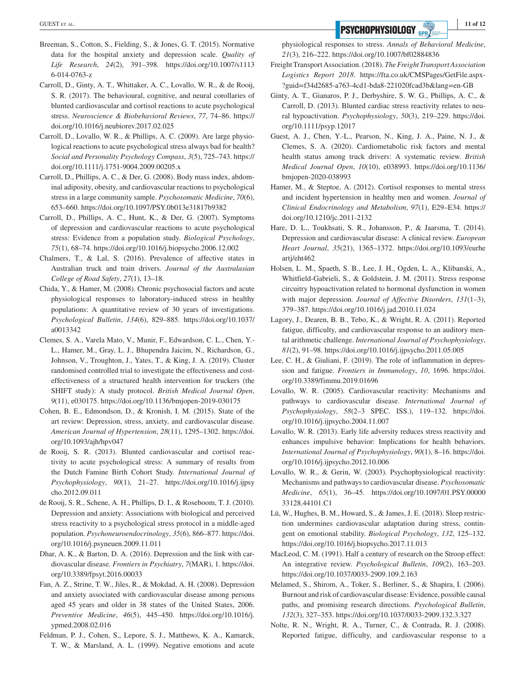- Breeman, S., Cotton, S., Fielding, S., & Jones, G. T. (2015). Normative data for the hospital anxiety and depression scale. *Quality of Life Research*, *24*(2), 391–398. [https://doi.org/10.1007/s1113](https://doi.org/10.1007/s11136-014-0763-z) [6-014-0763-z](https://doi.org/10.1007/s11136-014-0763-z)
- Carroll, D., Ginty, A. T., Whittaker, A. C., Lovallo, W. R., & de Rooij, S. R. (2017). The behavioural, cognitive, and neural corollaries of blunted cardiovascular and cortisol reactions to acute psychological stress. *Neuroscience & Biobehavioral Reviews*, *77*, 74–86. [https://](https://doi.org/10.1016/j.neubiorev.2017.02.025) [doi.org/10.1016/j.neubiorev.2017.02.025](https://doi.org/10.1016/j.neubiorev.2017.02.025)
- Carroll, D., Lovallo, W. R., & Phillips, A. C. (2009). Are large physiological reactions to acute psychological stress always bad for health? *Social and Personality Psychology Compass*, *3*(5), 725–743. [https://](https://doi.org/10.1111/j.1751-9004.2009.00205.x) [doi.org/10.1111/j.1751-9004.2009.00205.x](https://doi.org/10.1111/j.1751-9004.2009.00205.x)
- Carroll, D., Phillips, A. C., & Der, G. (2008). Body mass index, abdominal adiposity, obesity, and cardiovascular reactions to psychological stress in a large community sample. *Psychosomatic Medicine*, *70*(6), 653–660. <https://doi.org/10.1097/PSY.0b013e31817b9382>
- Carroll, D., Phillips, A. C., Hunt, K., & Der, G. (2007). Symptoms of depression and cardiovascular reactions to acute psychological stress: Evidence from a population study. *Biological Psychology*, *75*(1), 68–74. <https://doi.org/10.1016/j.biopsycho.2006.12.002>
- Chalmers, T., & Lal, S. (2016). Prevalence of affective states in Australian truck and train drivers. *Journal of the Australasian College of Road Safety*, *27*(1), 13–18.
- Chida, Y., & Hamer, M. (2008). Chronic psychosocial factors and acute physiological responses to laboratory-induced stress in healthy populations: A quantitative review of 30 years of investigations. *Psychological Bulletin*, *134*(6), 829–885. [https://doi.org/10.1037/](https://doi.org/10.1037/a0013342) [a0013342](https://doi.org/10.1037/a0013342)
- Clemes, S. A., Varela Mato, V., Munir, F., Edwardson, C. L., Chen, Y.- L., Hamer, M., Gray, L. J., Bhupendra Jaicim, N., Richardson, G., Johnson, V., Troughton, J., Yates, T., & King, J. A. (2019). Cluster randomised controlled trial to investigate the effectiveness and costeffectiveness of a structured health intervention for truckers (the SHIFT study): A study protocol. *British Medical Journal Open*, *9*(11), e030175. <https://doi.org/10.1136/bmjopen-2019-030175>
- Cohen, B. E., Edmondson, D., & Kronish, I. M. (2015). State of the art review: Depression, stress, anxiety, and cardiovascular disease. *American Journal of Hypertension*, *28*(11), 1295–1302. [https://doi.](https://doi.org/10.1093/ajh/hpv047) [org/10.1093/ajh/hpv047](https://doi.org/10.1093/ajh/hpv047)
- de Rooij, S. R. (2013). Blunted cardiovascular and cortisol reactivity to acute psychological stress: A summary of results from the Dutch Famine Birth Cohort Study. *International Journal of Psychophysiology*, *90*(1), 21–27. [https://doi.org/10.1016/j.ijpsy](https://doi.org/10.1016/j.ijpsycho.2012.09.011) [cho.2012.09.011](https://doi.org/10.1016/j.ijpsycho.2012.09.011)
- de Rooij, S. R., Schene, A. H., Phillips, D. I., & Roseboom, T. J. (2010). Depression and anxiety: Associations with biological and perceived stress reactivity to a psychological stress protocol in a middle-aged population. *Psychoneuroendocrinology*, *35*(6), 866–877. [https://doi.](https://doi.org/10.1016/j.psyneuen.2009.11.011) [org/10.1016/j.psyneuen.2009.11.011](https://doi.org/10.1016/j.psyneuen.2009.11.011)
- Dhar, A. K., & Barton, D. A. (2016). Depression and the link with cardiovascular disease. *Frontiers in Psychiatry*, *7*(MAR), 1. [https://doi.](https://doi.org/10.3389/fpsyt.2016.00033) [org/10.3389/fpsyt.2016.00033](https://doi.org/10.3389/fpsyt.2016.00033)
- Fan, A. Z., Strine, T. W., Jiles, R., & Mokdad, A. H. (2008). Depression and anxiety associated with cardiovascular disease among persons aged 45 years and older in 38 states of the United States, 2006. *Preventive Medicine*, *46*(5), 445–450. [https://doi.org/10.1016/j.](https://doi.org/10.1016/j.ypmed.2008.02.016) [ypmed.2008.02.016](https://doi.org/10.1016/j.ypmed.2008.02.016)
- Feldman, P. J., Cohen, S., Lepore, S. J., Matthews, K. A., Kamarck, T. W., & Marsland, A. L. (1999). Negative emotions and acute

physiological responses to stress. *Annals of Behavioral Medicine*, *21*(3), 216–222.<https://doi.org/10.1007/bf02884836>

- Freight Transport Association. (2018). *The Freight Transport Association Logistics Report 2018*. [https://fta.co.uk/CMSPages/GetFile.aspx-](https://fta.co.uk/CMSPages/GetFile.aspx?guid=f34d2685-a763-4cd1-bda8-221020fcad3b&lang=en-GB) [?guid=f34d2685-a763-4cd1-bda8-221020fcad3b&lang=en-GB](https://fta.co.uk/CMSPages/GetFile.aspx?guid=f34d2685-a763-4cd1-bda8-221020fcad3b&lang=en-GB)
- Ginty, A. T., Gianaros, P. J., Derbyshire, S. W. G., Phillips, A. C., & Carroll, D. (2013). Blunted cardiac stress reactivity relates to neural hypoactivation. *Psychophysiology*, *50*(3), 219–229. [https://doi.](https://doi.org/10.1111/psyp.12017) [org/10.1111/psyp.12017](https://doi.org/10.1111/psyp.12017)
- Guest, A. J., Chen, Y.-L., Pearson, N., King, J. A., Paine, N. J., & Clemes, S. A. (2020). Cardiometabolic risk factors and mental health status among truck drivers: A systematic review. *British Medical Journal Open*, *10*(10), e038993. [https://doi.org/10.1136/](https://doi.org/10.1136/bmjopen-2020-038993) [bmjopen-2020-038993](https://doi.org/10.1136/bmjopen-2020-038993)
- Hamer, M., & Steptoe, A. (2012). Cortisol responses to mental stress and incident hypertension in healthy men and women. *Journal of Clinical Endocrinology and Metabolism*, *97*(1), E29–E34. [https://](https://doi.org/10.1210/jc.2011-2132) [doi.org/10.1210/jc.2011-2132](https://doi.org/10.1210/jc.2011-2132)
- Hare, D. L., Toukhsati, S. R., Johansson, P., & Jaarsma, T. (2014). Depression and cardiovascular disease: A clinical review. *European Heart Journal*, *35*(21), 1365–1372. [https://doi.org/10.1093/eurhe](https://doi.org/10.1093/eurheartj/eht462) [artj/eht462](https://doi.org/10.1093/eurheartj/eht462)
- Holsen, L. M., Spaeth, S. B., Lee, J. H., Ogden, L. A., Klibanski, A., Whitfield-Gabrieli, S., & Goldstein, J. M. (2011). Stress response circuitry hypoactivation related to hormonal dysfunction in women with major depression. *Journal of Affective Disorders*, *131*(1–3), 379–387. <https://doi.org/10.1016/j.jad.2010.11.024>
- Lagory, J., Dearen, B. B., Tebo, K., & Wright, R. A. (2011). Reported fatigue, difficulty, and cardiovascular response to an auditory mental arithmetic challenge. *International Journal of Psychophysiology*, *81*(2), 91–98. <https://doi.org/10.1016/j.ijpsycho.2011.05.005>
- Lee, C. H., & Giuliani, F. (2019). The role of inflammation in depression and fatigue. *Frontiers in Immunology*, *10*, 1696. [https://doi.](https://doi.org/10.3389/fimmu.2019.01696) [org/10.3389/fimmu.2019.01696](https://doi.org/10.3389/fimmu.2019.01696)
- Lovallo, W. R. (2005). Cardiovascular reactivity: Mechanisms and pathways to cardiovascular disease. *International Journal of Psychophysiology*, *58*(2–3 SPEC. ISS.), 119–132. [https://doi.](https://doi.org/10.1016/j.ijpsycho.2004.11.007) [org/10.1016/j.ijpsycho.2004.11.007](https://doi.org/10.1016/j.ijpsycho.2004.11.007)
- Lovallo, W. R. (2013). Early life adversity reduces stress reactivity and enhances impulsive behavior: Implications for health behaviors. *International Journal of Psychophysiology*, *90*(1), 8–16. [https://doi.](https://doi.org/10.1016/j.ijpsycho.2012.10.006) [org/10.1016/j.ijpsycho.2012.10.006](https://doi.org/10.1016/j.ijpsycho.2012.10.006)
- Lovallo, W. R., & Gerin, W. (2003). Psychophysiological reactivity: Mechanisms and pathways to cardiovascular disease. *Psychosomatic Medicine*, *65*(1), 36–45. [https://doi.org/10.1097/01.PSY.00000](https://doi.org/10.1097/01.PSY.0000033128.44101.C1) [33128.44101.C1](https://doi.org/10.1097/01.PSY.0000033128.44101.C1)
- Lü, W., Hughes, B. M., Howard, S., & James, J. E. (2018). Sleep restriction undermines cardiovascular adaptation during stress, contingent on emotional stability. *Biological Psychology*, *132*, 125–132. <https://doi.org/10.1016/j.biopsycho.2017.11.013>
- MacLeod, C. M. (1991). Half a century of research on the Stroop effect: An integrative review. *Psychological Bulletin*, *109*(2), 163–203. <https://doi.org/10.1037/0033-2909.109.2.163>
- Melamed, S., Shirom, A., Toker, S., Berliner, S., & Shapira, I. (2006). Burnout and risk of cardiovascular disease: Evidence, possible causal paths, and promising research directions. *Psychological Bulletin*, *132*(3), 327–353. <https://doi.org/10.1037/0033-2909.132.3.327>
- Nolte, R. N., Wright, R. A., Turner, C., & Contrada, R. J. (2008). Reported fatigue, difficulty, and cardiovascular response to a